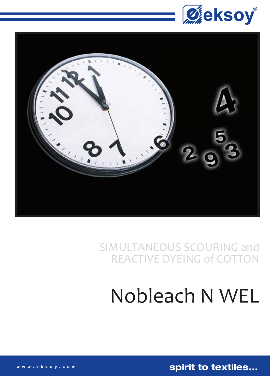



SIMULTANEOUS SCOURING and **REACTIVE DYEING of COTTON** 

# Nobleach N WEL

spirit to textiles...

www.eksoy.com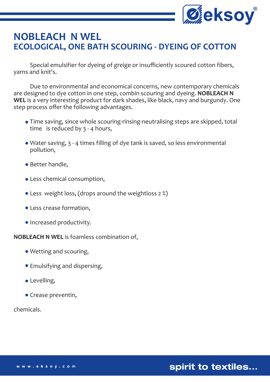

## **NOBLEACH N WEL ECOLOGICAL, ONE BATH SCOURING - DYEING OF COTTON**

 Special emulsifier for dyeing of greige or insufficiently scoured cotton fibers, yarns and knit's.

 Due to environmental and economical concerns, new contemporary chemicals are designed to dye cotton in one step, combin scouring and dyeing. **NOBLEACH N WEL** is a very interesting product for dark shades, like black, navy and burgundy. One step process offer the following advantages.

- Time saving, since whole scouring-rinsing-neutralising steps are skipped, total time is reduced by 3 - 4 hours,
- Water saving, 3 4 times filling of dye tank is saved, so less environmental pollution,
- Better handle,
- Less chemical consumption,
- Less weight loss, (drops around the weightloss 2 %)
- Less crease formation,
- Increased productivity.

#### **NOBLEACH N WEL** is foamless combination of,

- Wetting and scouring,
- Emulsifying and dispersing,
- **•** Levelling,
- Crease preventin,

chemicals.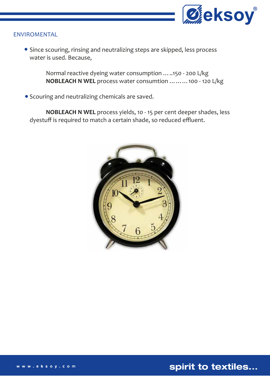

#### ENVIROMENTAL

**•** Since scouring, rinsing and neutralizing steps are skipped, less process water is used. Because,

> Normal reactive dyeing water consumption …..150 - 200 L/kg **NOBLEACH N WEL** process water consumtion ………100 - 120 L/kg

Scouring and neutralizing chemicals are saved.

 **NOBLEACH N WEL** process yields, 10 - 15 per cent deeper shades, less dyestuff is required to match a certain shade, so reduced effluent.



spirit to textiles...